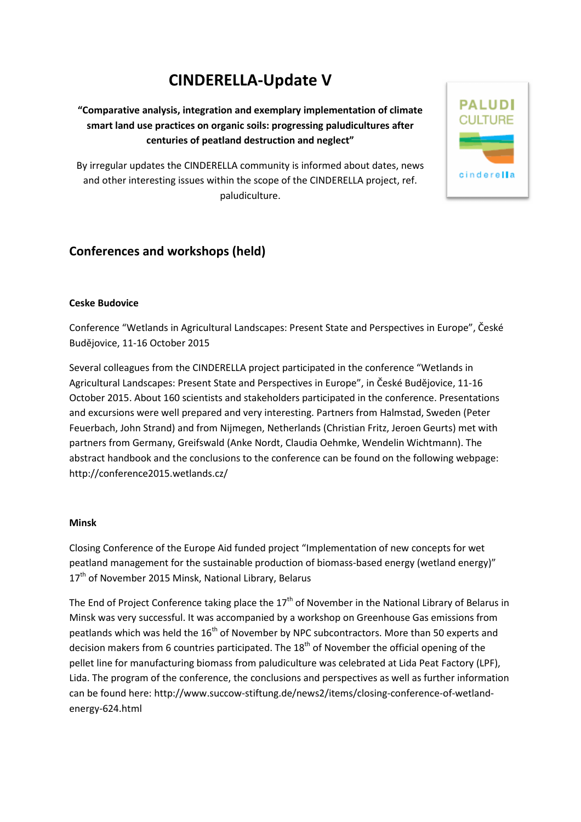# **CINDERELLA-Update V**

**"Comparative analysis, integration and exemplary implementation of climate smart land use practices on organic soils: progressing paludicultures after centuries of peatland destruction and neglect"** 

**PALUDI CULTURE** 

cinderella

By irregular updates the CINDERELLA community is informed about dates, news and other interesting issues within the scope of the CINDERELLA project, ref. paludiculture.



# **Ceske Budovice**

Conference "Wetlands in Agricultural Landscapes: Present State and Perspectives in Europe", České Budějovice, 11-16 October 2015

Several colleagues from the CINDERELLA project participated in the conference "Wetlands in Agricultural Landscapes: Present State and Perspectives in Europe", in České Budějovice, 11-16 October 2015. About 160 scientists and stakeholders participated in the conference. Presentations and excursions were well prepared and very interesting. Partners from Halmstad, Sweden (Peter Feuerbach, John Strand) and from Nijmegen, Netherlands (Christian Fritz, Jeroen Geurts) met with partners from Germany, Greifswald (Anke Nordt, Claudia Oehmke, Wendelin Wichtmann). The abstract handbook and the conclusions to the conference can be found on the following webpage: http://conference2015.wetlands.cz/

# **Minsk**

Closing Conference of the Europe Aid funded project "Implementation of new concepts for wet peatland management for the sustainable production of biomass-based energy (wetland energy)" 17<sup>th</sup> of November 2015 Minsk, National Library, Belarus

The End of Project Conference taking place the  $17<sup>th</sup>$  of November in the National Library of Belarus in Minsk was very successful. It was accompanied by a workshop on Greenhouse Gas emissions from peatlands which was held the 16<sup>th</sup> of November by NPC subcontractors. More than 50 experts and decision makers from 6 countries participated. The 18<sup>th</sup> of November the official opening of the pellet line for manufacturing biomass from paludiculture was celebrated at Lida Peat Factory (LPF), Lida. The program of the conference, the conclusions and perspectives as well as further information can be found here: http://www.succow-stiftung.de/news2/items/closing-conference-of-wetlandenergy-624.html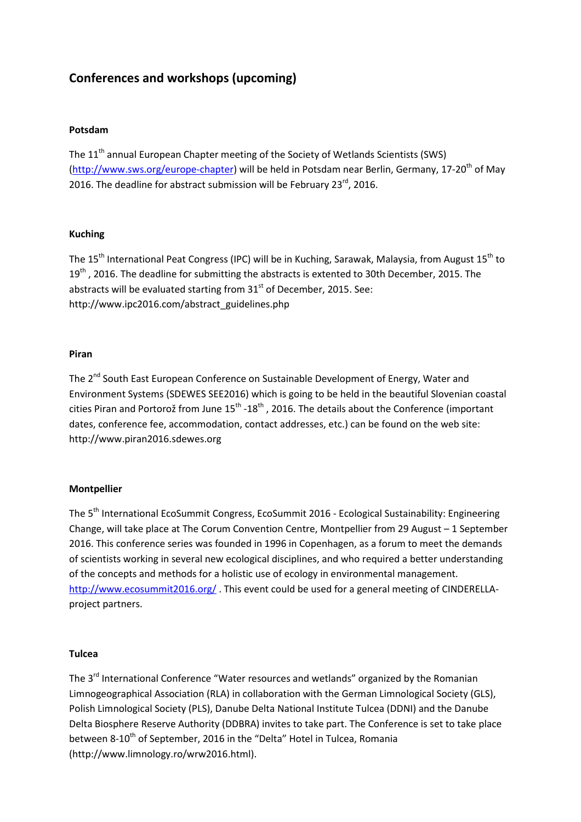# **Conferences and workshops (upcoming)**

# **Potsdam**

The 11<sup>th</sup> annual European Chapter meeting of the Society of Wetlands Scientists (SWS) (http://www.sws.org/europe-chapter) will be held in Potsdam near Berlin, Germany, 17-20<sup>th</sup> of May 2016. The deadline for abstract submission will be February 23rd, 2016.

# **Kuching**

The 15<sup>th</sup> International Peat Congress (IPC) will be in Kuching, Sarawak, Malaysia, from August 15<sup>th</sup> to 19<sup>th</sup>, 2016. The deadline for submitting the abstracts is extented to 30th December, 2015. The abstracts will be evaluated starting from  $31<sup>st</sup>$  of December, 2015. See: http://www.ipc2016.com/abstract\_guidelines.php

# **Piran**

The 2<sup>nd</sup> South East European Conference on Sustainable Development of Energy, Water and Environment Systems (SDEWES SEE2016) which is going to be held in the beautiful Slovenian coastal cities Piran and Portorož from June  $15^{th}$  -18<sup>th</sup>, 2016. The details about the Conference (important dates, conference fee, accommodation, contact addresses, etc.) can be found on the web site: http://www.piran2016.sdewes.org

# **Montpellier**

The 5<sup>th</sup> International EcoSummit Congress, EcoSummit 2016 - Ecological Sustainability: Engineering Change, will take place at The Corum Convention Centre, Montpellier from 29 August – 1 September 2016. This conference series was founded in 1996 in Copenhagen, as a forum to meet the demands of scientists working in several new ecological disciplines, and who required a better understanding of the concepts and methods for a holistic use of ecology in environmental management. http://www.ecosummit2016.org/ . This event could be used for a general meeting of CINDERELLAproject partners.

# **Tulcea**

The 3<sup>rd</sup> International Conference "Water resources and wetlands" organized by the Romanian Limnogeographical Association (RLA) in collaboration with the German Limnological Society (GLS), Polish Limnological Society (PLS), Danube Delta National Institute Tulcea (DDNI) and the Danube Delta Biosphere Reserve Authority (DDBRA) invites to take part. The Conference is set to take place between 8-10<sup>th</sup> of September, 2016 in the "Delta" Hotel in Tulcea, Romania (http://www.limnology.ro/wrw2016.html).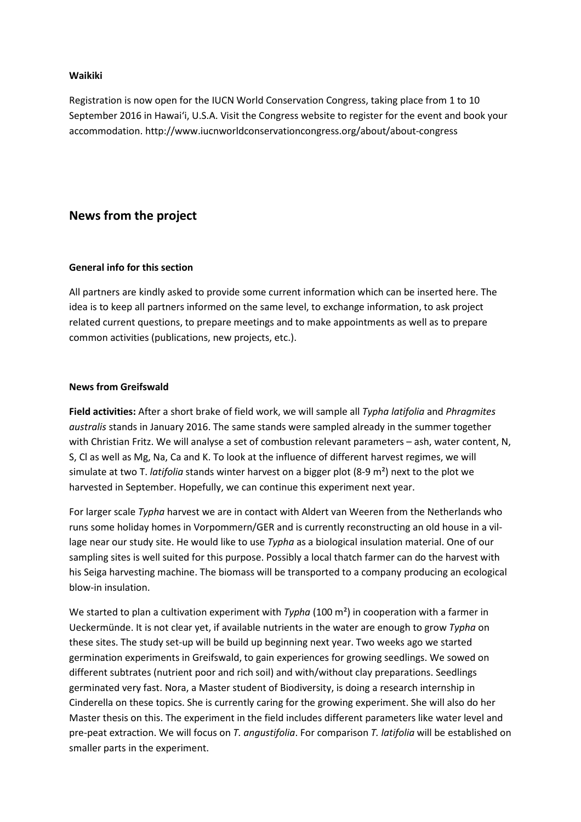## **Waikiki**

Registration is now open for the IUCN World Conservation Congress, taking place from 1 to 10 September 2016 in Hawaiʻi, U.S.A. Visit the Congress website to register for the event and book your accommodation. http://www.iucnworldconservationcongress.org/about/about-congress

# **News from the project**

#### **General info for this section**

All partners are kindly asked to provide some current information which can be inserted here. The idea is to keep all partners informed on the same level, to exchange information, to ask project related current questions, to prepare meetings and to make appointments as well as to prepare common activities (publications, new projects, etc.).

#### **News from Greifswald**

**Field activities:** After a short brake of field work, we will sample all *Typha latifolia* and *Phragmites australis* stands in January 2016. The same stands were sampled already in the summer together with Christian Fritz. We will analyse a set of combustion relevant parameters - ash, water content, N, S, Cl as well as Mg, Na, Ca and K. To look at the influence of different harvest regimes, we will simulate at two T. *latifolia* stands winter harvest on a bigger plot (8-9 m²) next to the plot we harvested in September. Hopefully, we can continue this experiment next year.

For larger scale *Typha* harvest we are in contact with Aldert van Weeren from the Netherlands who runs some holiday homes in Vorpommern/GER and is currently reconstructing an old house in a village near our study site. He would like to use *Typha* as a biological insulation material. One of our sampling sites is well suited for this purpose. Possibly a local thatch farmer can do the harvest with his Seiga harvesting machine. The biomass will be transported to a company producing an ecological blow-in insulation.

We started to plan a cultivation experiment with *Typha* (100 m<sup>2</sup>) in cooperation with a farmer in Ueckermünde. It is not clear yet, if available nutrients in the water are enough to grow *Typha* on these sites. The study set-up will be build up beginning next year. Two weeks ago we started germination experiments in Greifswald, to gain experiences for growing seedlings. We sowed on different subtrates (nutrient poor and rich soil) and with/without clay preparations. Seedlings germinated very fast. Nora, a Master student of Biodiversity, is doing a research internship in Cinderella on these topics. She is currently caring for the growing experiment. She will also do her Master thesis on this. The experiment in the field includes different parameters like water level and pre-peat extraction. We will focus on *T. angustifolia*. For comparison *T. latifolia* will be established on smaller parts in the experiment.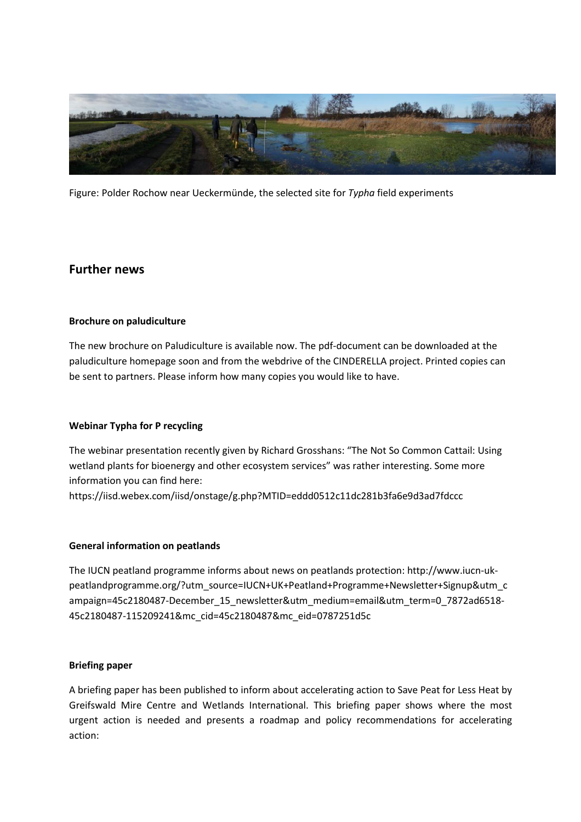

Figure: Polder Rochow near Ueckermünde, the selected site for *Typha* field experiments

# **Further news**

# **Brochure on paludiculture**

The new brochure on Paludiculture is available now. The pdf-document can be downloaded at the paludiculture homepage soon and from the webdrive of the CINDERELLA project. Printed copies can be sent to partners. Please inform how many copies you would like to have.

# **Webinar Typha for P recycling**

The webinar presentation recently given by Richard Grosshans: "The Not So Common Cattail: Using wetland plants for bioenergy and other ecosystem services" was rather interesting. Some more information you can find here:

https://iisd.webex.com/iisd/onstage/g.php?MTID=eddd0512c11dc281b3fa6e9d3ad7fdccc

# **General information on peatlands**

The IUCN peatland programme informs about news on peatlands protection: http://www.iucn-ukpeatlandprogramme.org/?utm\_source=IUCN+UK+Peatland+Programme+Newsletter+Signup&utm\_c ampaign=45c2180487-December\_15\_newsletter&utm\_medium=email&utm\_term=0\_7872ad6518- 45c2180487-115209241&mc\_cid=45c2180487&mc\_eid=0787251d5c

# **Briefing paper**

A briefing paper has been published to inform about accelerating action to Save Peat for Less Heat by Greifswald Mire Centre and Wetlands International. This briefing paper shows where the most urgent action is needed and presents a roadmap and policy recommendations for accelerating action: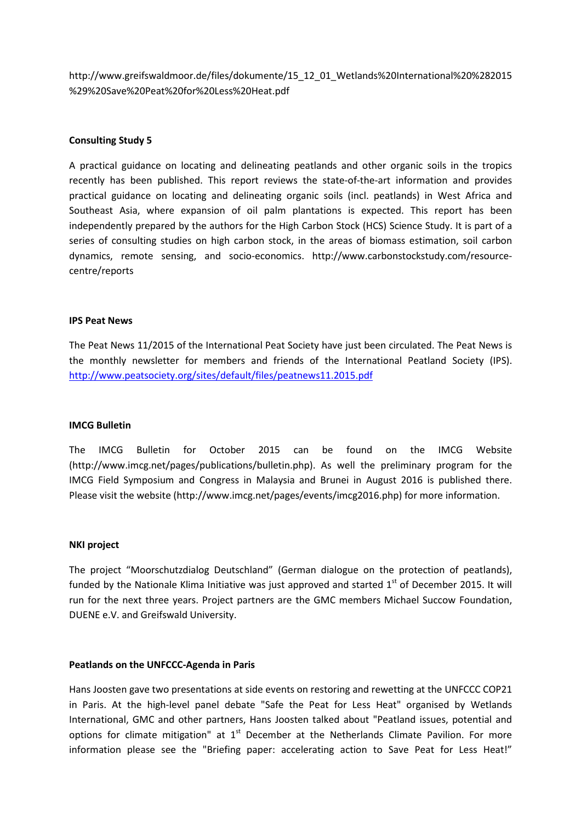http://www.greifswaldmoor.de/files/dokumente/15\_12\_01\_Wetlands%20International%20%282015 %29%20Save%20Peat%20for%20Less%20Heat.pdf

## **Consulting Study 5**

A practical guidance on locating and delineating peatlands and other organic soils in the tropics recently has been published. This report reviews the state-of-the-art information and provides practical guidance on locating and delineating organic soils (incl. peatlands) in West Africa and Southeast Asia, where expansion of oil palm plantations is expected. This report has been independently prepared by the authors for the High Carbon Stock (HCS) Science Study. It is part of a series of consulting studies on high carbon stock, in the areas of biomass estimation, soil carbon dynamics, remote sensing, and socio-economics. http://www.carbonstockstudy.com/resourcecentre/reports

#### **IPS Peat News**

The Peat News 11/2015 of the International Peat Society have just been circulated. The Peat News is the monthly newsletter for members and friends of the International Peatland Society (IPS). http://www.peatsociety.org/sites/default/files/peatnews11.2015.pdf

#### **IMCG Bulletin**

The IMCG Bulletin for October 2015 can be found on the IMCG Website (http://www.imcg.net/pages/publications/bulletin.php). As well the preliminary program for the IMCG Field Symposium and Congress in Malaysia and Brunei in August 2016 is published there. Please visit the website (http://www.imcg.net/pages/events/imcg2016.php) for more information.

#### **NKI project**

The project "Moorschutzdialog Deutschland" (German dialogue on the protection of peatlands), funded by the Nationale Klima Initiative was just approved and started  $1<sup>st</sup>$  of December 2015. It will run for the next three years. Project partners are the GMC members Michael Succow Foundation, DUENE e.V. and Greifswald University.

#### **Peatlands on the UNFCCC-Agenda in Paris**

Hans Joosten gave two presentations at side events on restoring and rewetting at the UNFCCC COP21 in Paris. At the high-level panel debate "Safe the Peat for Less Heat" organised by Wetlands International, GMC and other partners, Hans Joosten talked about "Peatland issues, potential and options for climate mitigation" at  $1<sup>st</sup>$  December at the Netherlands Climate Pavilion. For more information please see the "Briefing paper: accelerating action to Save Peat for Less Heat!"